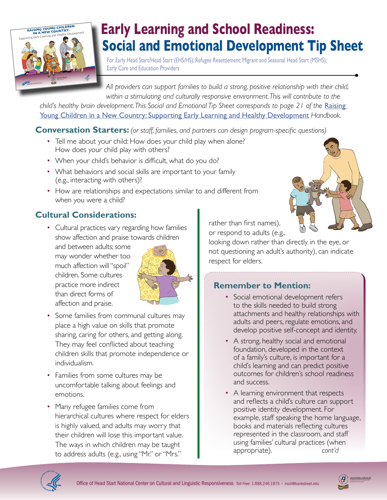

# **Early Learning and School Readiness: Social and Emotional Development Tip Sheet**

For Early Head Start/Head Start (EHS/HS); Refugee Resettlement; Migrant and Seasonal Head Start (MSHS); Early Care and Education Providers

*All providers can support families to build a strong, positive relationship with their child, within a stimulating and culturally responsive environment. This will contribute to the* 

*child's healthy brain development. This Social and Emotional Tip Sheet corresponds to page 21 of the Raising* [Young Children in a New Country: Supporting Early Learning and Healthy Development](http://eclkc.ohs.acf.hhs.gov/hslc/tta-system/cultural-linguistic/docs/raising-young-children-in-a-new-country-bryc5.pdf) *Handbook.*

### **Conversation Starters:** *(or staff, families, and partners can design program-specific questions)*

- Tell me about your child: How does your child play when alone? How does your child play with others?
- When your child's behavior is difficult, what do you do?
- What behaviors and social skills are important to your family (e.g., interacting with others)?
- How are relationships and expectations similar to and different from when you were a child?

## **Cultural Considerations:**

• Cultural practices vary regarding how families show affection and praise towards children

and between adults; some may wonder whether too much affection will "spoil" children. Some cultures practice more indirect than direct forms of affection and praise.



- Some families from communal cultures may place a high value on skills that promote sharing, caring for others, and getting along. They may feel conflicted about teaching children skills that promote independence or individualism.
- Families from some cultures may be uncomfortable talking about feelings and emotions.
- Many refugee families come from hierarchical cultures where respect for elders is highly valued, and adults may worry that their children will lose this important value. The ways in which children may be taught to address adults (e.g., using "Mr." or "Mrs."

rather than first names). or respond to adults (e.g.,

looking down rather than directly in the eye, or not questioning an adult's authority), can indicate respect for elders.

## **Remember to Mention:**

- Social emotional development refers to the skills needed to build strong attachments and healthy relationships with adults and peers, regulate emotions, and develop positive self-concept and identity.
- A strong, healthy social and emotional foundation, developed in the context of a family's culture, is important for a child's learning and can predict positive outcomes for children's school readiness and success.
- A learning environment that respects and reflects a child's culture can support positive identity development. For example, staff speaking the home language, books and materials reflecting cultures represented in the classroom, and staff using families' cultural practices (when appropriate). cont'd

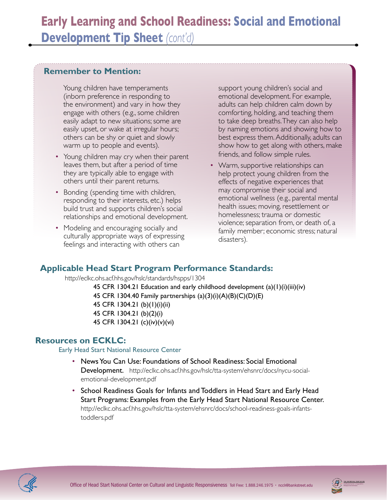#### **Remember to Mention:**

Young children have temperaments (inborn preference in responding to the environment) and vary in how they engage with others (e.g., some children easily adapt to new situations; some are easily upset, or wake at irregular hours; others can be shy or quiet and slowly warm up to people and events).

- Young children may cry when their parent leaves them, but after a period of time they are typically able to engage with others until their parent returns.
- Bonding (spending time with children, responding to their interests, etc.) helps build trust and supports children's social relationships and emotional development.
- Modeling and encouraging socially and culturally appropriate ways of expressing feelings and interacting with others can

support young children's social and emotional development. For example, adults can help children calm down by comforting, holding, and teaching them to take deep breaths. They can also help by naming emotions and showing how to best express them. Additionally, adults can show how to get along with others, make friends, and follow simple rules.

• Warm, supportive relationships can help protect young children from the effects of negative experiences that may compromise their social and emotional wellness (e.g., parental mental health issues; moving, resettlement or homelessness; trauma or domestic violence; separation from, or death of, a family member; economic stress; natural disasters).

## **Applicable Head Start Program Performance Standards:**

<http://eclkc.ohs.acf.hhs.gov/hslc/standards/hspps/1304>

45 CFR 1304.21 Education and early childhood development (a)(1)(i)(iii)(iv) 45 CFR 1304.40 Family partnerships (a)(3)(i)(A)(B)(C)(D)(E) 45 CFR 1304.21 (b)(1)(i)(ii) 45 CFR 1304.21 (b)(2)(i) 45 CFR 1304.21 (c)(iv)(v)(vi)

### **Resources on ECKLC:**

Early Head Start National Resource Center

- News You Can Use: Foundations of School Readiness: Social Emotional Development. [http://eclkc.ohs.acf.hhs.gov/hslc/tta-system/ehsnrc/docs/nycu-social](http://eclkc.ohs.acf.hhs.gov/hslc/tta-system/ehsnrc/docs/nycu-social-emotional-development.pdf)[emotional-development.pd](http://eclkc.ohs.acf.hhs.gov/hslc/tta-system/ehsnrc/docs/nycu-social-emotional-development.pdf)f
- School Readiness Goals for Infants and Toddlers in Head Start and Early Head Start Programs: Examples from the Early Head Start National Resource Center. [http://eclkc.ohs.acf.hhs.gov/hslc/tta-system/ehsnrc/docs/school-readiness-goals-infants](http://eclkc.ohs.acf.hhs.gov/hslc/tta-system/ehsnrc/docs/school-readiness-goals-infants-toddlers.pdf)[toddlers.pdf](http://eclkc.ohs.acf.hhs.gov/hslc/tta-system/ehsnrc/docs/school-readiness-goals-infants-toddlers.pdf)